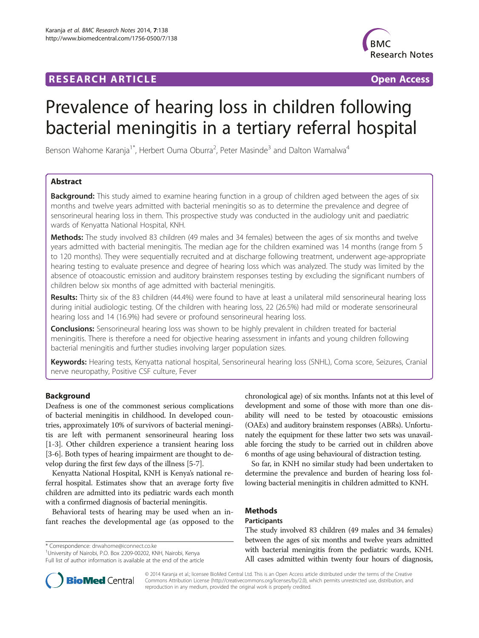## **RESEARCH ARTICLE Example 2018 12:00 Department of the CONNECTION CONNECTION CONNECTION CONNECTION**



# Prevalence of hearing loss in children following bacterial meningitis in a tertiary referral hospital

Benson Wahome Karanja<sup>1\*</sup>, Herbert Ouma Oburra<sup>2</sup>, Peter Masinde<sup>3</sup> and Dalton Wamalwa<sup>4</sup>

## Abstract

Background: This study aimed to examine hearing function in a group of children aged between the ages of six months and twelve years admitted with bacterial meningitis so as to determine the prevalence and degree of sensorineural hearing loss in them. This prospective study was conducted in the audiology unit and paediatric wards of Kenyatta National Hospital, KNH.

**Methods:** The study involved 83 children (49 males and 34 females) between the ages of six months and twelve years admitted with bacterial meningitis. The median age for the children examined was 14 months (range from 5 to 120 months). They were sequentially recruited and at discharge following treatment, underwent age-appropriate hearing testing to evaluate presence and degree of hearing loss which was analyzed. The study was limited by the absence of otoacoustic emission and auditory brainstem responses testing by excluding the significant numbers of children below six months of age admitted with bacterial meningitis.

Results: Thirty six of the 83 children (44.4%) were found to have at least a unilateral mild sensorineural hearing loss during initial audiologic testing. Of the children with hearing loss, 22 (26.5%) had mild or moderate sensorineural hearing loss and 14 (16.9%) had severe or profound sensorineural hearing loss.

**Conclusions:** Sensorineural hearing loss was shown to be highly prevalent in children treated for bacterial meningitis. There is therefore a need for objective hearing assessment in infants and young children following bacterial meningitis and further studies involving larger population sizes.

Keywords: Hearing tests, Kenyatta national hospital, Sensorineural hearing loss (SNHL), Coma score, Seizures, Cranial nerve neuropathy, Positive CSF culture, Fever

## Background

Deafness is one of the commonest serious complications of bacterial meningitis in childhood. In developed countries, approximately 10% of survivors of bacterial meningitis are left with permanent sensorineural hearing loss [[1-3\]](#page-3-0). Other children experience a transient hearing loss [[3-6\]](#page-3-0). Both types of hearing impairment are thought to develop during the first few days of the illness [\[5-7](#page-3-0)].

Kenyatta National Hospital, KNH is Kenya's national referral hospital. Estimates show that an average forty five children are admitted into its pediatric wards each month with a confirmed diagnosis of bacterial meningitis.

Behavioral tests of hearing may be used when an infant reaches the developmental age (as opposed to the

\* Correspondence: [drwahome@iconnect.co.ke](mailto:drwahome@iconnect.co.ke) <sup>1</sup>

University of Nairobi, P.O. Box 2209-00202, KNH, Nairobi, Kenya Full list of author information is available at the end of the article chronological age) of six months. Infants not at this level of development and some of those with more than one disability will need to be tested by otoacoustic emissions (OAEs) and auditory brainstem responses (ABRs). Unfortunately the equipment for these latter two sets was unavailable forcing the study to be carried out in children above 6 months of age using behavioural of distraction testing.

So far, in KNH no similar study had been undertaken to determine the prevalence and burden of hearing loss following bacterial meningitis in children admitted to KNH.

## Methods

#### **Participants**

The study involved 83 children (49 males and 34 females) between the ages of six months and twelve years admitted with bacterial meningitis from the pediatric wards, KNH. All cases admitted within twenty four hours of diagnosis,



© 2014 Karanja et al.; licensee BioMed Central Ltd. This is an Open Access article distributed under the terms of the Creative Commons Attribution License [\(http://creativecommons.org/licenses/by/2.0\)](http://creativecommons.org/licenses/by/2.0), which permits unrestricted use, distribution, and reproduction in any medium, provided the original work is properly credited.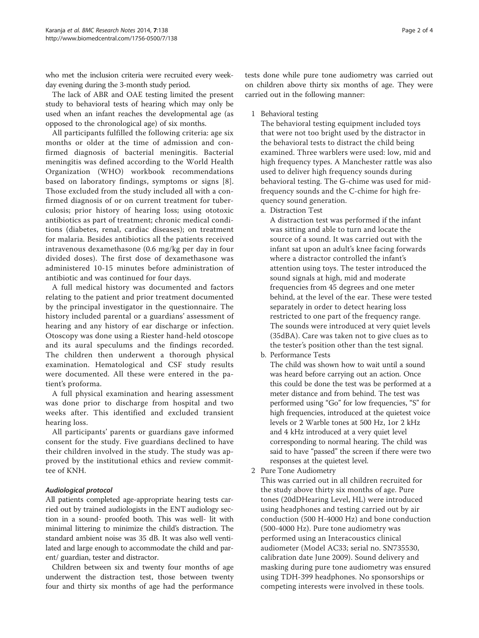who met the inclusion criteria were recruited every weekday evening during the 3-month study period.

The lack of ABR and OAE testing limited the present study to behavioral tests of hearing which may only be used when an infant reaches the developmental age (as opposed to the chronological age) of six months.

All participants fulfilled the following criteria: age six months or older at the time of admission and confirmed diagnosis of bacterial meningitis. Bacterial meningitis was defined according to the World Health Organization (WHO) workbook recommendations based on laboratory findings, symptoms or signs [[8](#page-3-0)]. Those excluded from the study included all with a confirmed diagnosis of or on current treatment for tuberculosis; prior history of hearing loss; using ototoxic antibiotics as part of treatment; chronic medical conditions (diabetes, renal, cardiac diseases); on treatment for malaria. Besides antibiotics all the patients received intravenous dexamethasone (0.6 mg/kg per day in four divided doses). The first dose of dexamethasone was administered 10-15 minutes before administration of antibiotic and was continued for four days.

A full medical history was documented and factors relating to the patient and prior treatment documented by the principal investigator in the questionnaire. The history included parental or a guardians' assessment of hearing and any history of ear discharge or infection. Otoscopy was done using a Riester hand-held otoscope and its aural speculums and the findings recorded. The children then underwent a thorough physical examination. Hematological and CSF study results were documented. All these were entered in the patient's proforma.

A full physical examination and hearing assessment was done prior to discharge from hospital and two weeks after. This identified and excluded transient hearing loss.

All participants' parents or guardians gave informed consent for the study. Five guardians declined to have their children involved in the study. The study was approved by the institutional ethics and review committee of KNH.

## Audiological protocol

All patients completed age-appropriate hearing tests carried out by trained audiologists in the ENT audiology section in a sound- proofed booth. This was well- lit with minimal littering to minimize the child's distraction. The standard ambient noise was 35 dB. It was also well ventilated and large enough to accommodate the child and parent/ guardian, tester and distractor.

Children between six and twenty four months of age underwent the distraction test, those between twenty four and thirty six months of age had the performance

tests done while pure tone audiometry was carried out on children above thirty six months of age. They were carried out in the following manner:

1 Behavioral testing

The behavioral testing equipment included toys that were not too bright used by the distractor in the behavioral tests to distract the child being examined. Three warblers were used: low, mid and high frequency types. A Manchester rattle was also used to deliver high frequency sounds during behavioral testing. The G-chime was used for midfrequency sounds and the C-chime for high frequency sound generation.

a. Distraction Test

A distraction test was performed if the infant was sitting and able to turn and locate the source of a sound. It was carried out with the infant sat upon an adult's knee facing forwards where a distractor controlled the infant's attention using toys. The tester introduced the sound signals at high, mid and moderate frequencies from 45 degrees and one meter behind, at the level of the ear. These were tested separately in order to detect hearing loss restricted to one part of the frequency range. The sounds were introduced at very quiet levels (35dBA). Care was taken not to give clues as to the tester's position other than the test signal.

b. Performance Tests

The child was shown how to wait until a sound was heard before carrying out an action. Once this could be done the test was be performed at a meter distance and from behind. The test was performed using "Go" for low frequencies, "S" for high frequencies, introduced at the quietest voice levels or 2 Warble tones at 500 Hz, 1or 2 kHz and 4 kHz introduced at a very quiet level corresponding to normal hearing. The child was said to have "passed" the screen if there were two responses at the quietest level.

2 Pure Tone Audiometry

This was carried out in all children recruited for the study above thirty six months of age. Pure tones (20dDHearing Level, HL) were introduced using headphones and testing carried out by air conduction (500 H-4000 Hz) and bone conduction (500-4000 Hz). Pure tone audiometry was performed using an Interacoustics clinical audiometer (Model AC33; serial no. SN735530, calibration date June 2009). Sound delivery and masking during pure tone audiometry was ensured using TDH-399 headphones. No sponsorships or competing interests were involved in these tools.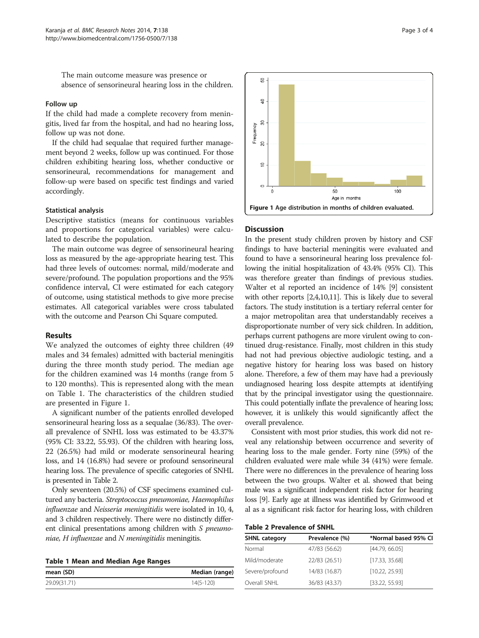The main outcome measure was presence or absence of sensorineural hearing loss in the children.

#### Follow up

If the child had made a complete recovery from meningitis, lived far from the hospital, and had no hearing loss, follow up was not done.

If the child had sequalae that required further management beyond 2 weeks, follow up was continued. For those children exhibiting hearing loss, whether conductive or sensorineural, recommendations for management and follow-up were based on specific test findings and varied accordingly.

#### Statistical analysis

Descriptive statistics (means for continuous variables and proportions for categorical variables) were calculated to describe the population.

The main outcome was degree of sensorineural hearing loss as measured by the age-appropriate hearing test. This had three levels of outcomes: normal, mild/moderate and severe/profound. The population proportions and the 95% confidence interval, CI were estimated for each category of outcome, using statistical methods to give more precise estimates. All categorical variables were cross tabulated with the outcome and Pearson Chi Square computed.

#### Results

We analyzed the outcomes of eighty three children (49 males and 34 females) admitted with bacterial meningitis during the three month study period. The median age for the children examined was 14 months (range from 5 to 120 months). This is represented along with the mean on Table 1. The characteristics of the children studied are presented in Figure 1.

A significant number of the patients enrolled developed sensorineural hearing loss as a sequalae (36/83). The overall prevalence of SNHL loss was estimated to be 43.37% (95% CI: 33.22, 55.93). Of the children with hearing loss, 22 (26.5%) had mild or moderate sensorineural hearing loss, and 14 (16.8%) had severe or profound sensorineural hearing loss. The prevalence of specific categories of SNHL is presented in Table 2.

Only seventeen (20.5%) of CSF specimens examined cultured any bacteria. Streptococcus pneumoniae, Haemophilus influenzae and Neisseria meningitidis were isolated in 10, 4, and 3 children respectively. There were no distinctly different clinical presentations among children with S *pneumo*niae,  $H$  influenzae and  $N$  meningitidis meningitis.

|  |  |  | <b>Table 1 Mean and Median Age Ranges</b> |  |  |
|--|--|--|-------------------------------------------|--|--|
|--|--|--|-------------------------------------------|--|--|

| mean (SD)    | Median (range) |
|--------------|----------------|
| 29.09(31.71) | $14(5-120)$    |



#### **Discussion**

In the present study children proven by history and CSF findings to have bacterial meningitis were evaluated and found to have a sensorineural hearing loss prevalence following the initial hospitalization of 43.4% (95% CI). This was therefore greater than findings of previous studies. Walter et al reported an incidence of 14% [[9\]](#page-3-0) consistent with other reports [[2,4,10,11](#page-3-0)]. This is likely due to several factors. The study institution is a tertiary referral center for a major metropolitan area that understandably receives a disproportionate number of very sick children. In addition, perhaps current pathogens are more virulent owing to continued drug-resistance. Finally, most children in this study had not had previous objective audiologic testing, and a negative history for hearing loss was based on history alone. Therefore, a few of them may have had a previously undiagnosed hearing loss despite attempts at identifying that by the principal investigator using the questionnaire. This could potentially inflate the prevalence of hearing loss; however, it is unlikely this would significantly affect the overall prevalence.

Consistent with most prior studies, this work did not reveal any relationship between occurrence and severity of hearing loss to the male gender. Forty nine (59%) of the children evaluated were male while 34 (41%) were female. There were no differences in the prevalence of hearing loss between the two groups. Walter et al. showed that being male was a significant independent risk factor for hearing loss [[9](#page-3-0)]. Early age at illness was identified by Grimwood et al as a significant risk factor for hearing loss, with children

| <b>SHNL category</b> | Prevalence (%) | *Normal based 95% CI |
|----------------------|----------------|----------------------|
| Normal               | 47/83 (56.62)  | [44.79, 66.05]       |
| Mild/moderate        | 22/83 (26.51)  | [17.33, 35.68]       |
| Severe/profound      | 14/83 (16.87)  | [10.22, 25.93]       |
| Overall SNHL         | 36/83 (43.37)  | [33.22, 55.93]       |
|                      |                |                      |